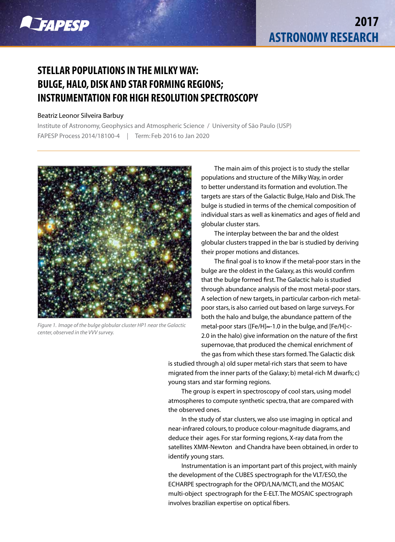

## **STELLAR POPULATIONS IN THE MILKY WAY: BULGE, HALO, DISK AND STAR FORMING REGIONS; INSTRUMENTATION FOR HIGH RESOLUTION SPECTROSCOPY**

## Beatriz Leonor Silveira Barbuy

Institute of Astronomy, Geophysics and Atmospheric Science / University of São Paulo (USP) FAPESP Process 2014/18100-4 *|* Term: Feb 2016 to Jan 2020



*Figure 1. Image of the bulge globular cluster HP1 near the Galactic center, observed in the VVV survey.*

The main aim of this project is to study the stellar populations and structure of the Milky Way, in order to better understand its formation and evolution. The targets are stars of the Galactic Bulge, Halo and Disk. The bulge is studied in terms of the chemical composition of individual stars as well as kinematics and ages of field and globular cluster stars.

The interplay between the bar and the oldest globular clusters trapped in the bar is studied by deriving their proper motions and distances.

The final goal is to know if the metal-poor stars in the bulge are the oldest in the Galaxy, as this would confirm that the bulge formed first. The Galactic halo is studied through abundance analysis of the most metal-poor stars. A selection of new targets, in particular carbon-rich metalpoor stars, is also carried out based on large surveys. For both the halo and bulge, the abundance pattern of the metal-poor stars ([Fe/H]≈-1.0 in the bulge, and [Fe/H]<-2.0 in the halo) give information on the nature of the first supernovae, that produced the chemical enrichment of the gas from which these stars formed. The Galactic disk

is studied through a) old super metal-rich stars that seem to have migrated from the inner parts of the Galaxy; b) metal-rich M dwarfs; c) young stars and star forming regions.

The group is expert in spectroscopy of cool stars, using model atmospheres to compute synthetic spectra, that are compared with the observed ones.

In the study of star clusters, we also use imaging in optical and near-infrared colours, to produce colour-magnitude diagrams, and deduce their ages. For star forming regions, X-ray data from the satellites XMM-Newton and Chandra have been obtained, in order to identify young stars.

Instrumentation is an important part of this project, with mainly the development of the CUBES spectrograph for the VLT/ESO, the ECHARPE spectrograph for the OPD/LNA/MCTI, and the MOSAIC multi-object spectrograph for the E-ELT. The MOSAIC spectrograph involves brazilian expertise on optical fibers.